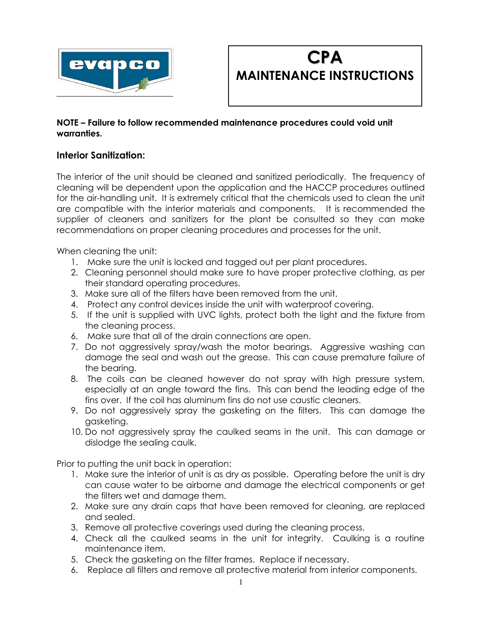



#### **NOTE – Failure to follow recommended maintenance procedures could void unit warranties.**

## **Interior Sanitization:**

The interior of the unit should be cleaned and sanitized periodically. The frequency of cleaning will be dependent upon the application and the HACCP procedures outlined for the air-handling unit. It is extremely critical that the chemicals used to clean the unit are compatible with the interior materials and components. It is recommended the supplier of cleaners and sanitizers for the plant be consulted so they can make recommendations on proper cleaning procedures and processes for the unit.

When cleaning the unit:

- 1. Make sure the unit is locked and tagged out per plant procedures.
- 2. Cleaning personnel should make sure to have proper protective clothing, as per their standard operating procedures.
- 3. Make sure all of the filters have been removed from the unit.
- 4. Protect any control devices inside the unit with waterproof covering.
- 5. If the unit is supplied with UVC lights, protect both the light and the fixture from the cleaning process.
- 6. Make sure that all of the drain connections are open.
- 7. Do not aggressively spray/wash the motor bearings. Aggressive washing can damage the seal and wash out the grease. This can cause premature failure of the bearing.
- 8. The coils can be cleaned however do not spray with high pressure system, especially at an angle toward the fins. This can bend the leading edge of the fins over. If the coil has aluminum fins do not use caustic cleaners.
- 9. Do not aggressively spray the gasketing on the filters. This can damage the gasketing.
- 10. Do not aggressively spray the caulked seams in the unit. This can damage or dislodge the sealing caulk.

Prior to putting the unit back in operation:

- 1. Make sure the interior of unit is as dry as possible. Operating before the unit is dry can cause water to be airborne and damage the electrical components or get the filters wet and damage them.
- 2. Make sure any drain caps that have been removed for cleaning, are replaced and sealed.
- 3. Remove all protective coverings used during the cleaning process.
- 4. Check all the caulked seams in the unit for integrity. Caulking is a routine maintenance item.
- 5. Check the gasketing on the filter frames. Replace if necessary.
- 6. Replace all filters and remove all protective material from interior components.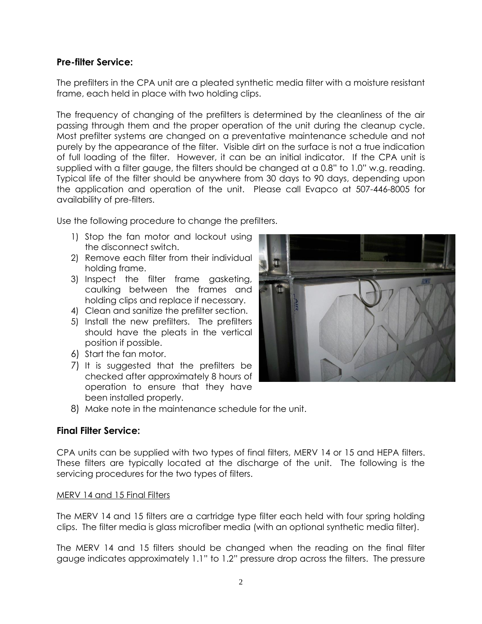## **Pre-filter Service:**

The prefilters in the CPA unit are a pleated synthetic media filter with a moisture resistant frame, each held in place with two holding clips.

The frequency of changing of the prefilters is determined by the cleanliness of the air passing through them and the proper operation of the unit during the cleanup cycle. Most prefilter systems are changed on a preventative maintenance schedule and not purely by the appearance of the filter. Visible dirt on the surface is not a true indication of full loading of the filter. However, it can be an initial indicator. If the CPA unit is supplied with a filter gauge, the filters should be changed at a 0.8" to 1.0" w.g. reading. Typical life of the filter should be anywhere from 30 days to 90 days, depending upon the application and operation of the unit. Please call Evapco at 507-446-8005 for availability of pre-filters.

Use the following procedure to change the prefilters.

- 1) Stop the fan motor and lockout using the disconnect switch.
- 2) Remove each filter from their individual holding frame.
- 3) Inspect the filter frame gasketing, caulking between the frames and holding clips and replace if necessary.
- 4) Clean and sanitize the prefilter section.
- 5) Install the new prefilters. The prefilters should have the pleats in the vertical position if possible.
- 6) Start the fan motor.
- 7) It is suggested that the prefilters be checked after approximately 8 hours of operation to ensure that they have been installed properly.



8) Make note in the maintenance schedule for the unit.

### **Final Filter Service:**

CPA units can be supplied with two types of final filters, MERV 14 or 15 and HEPA filters. These filters are typically located at the discharge of the unit. The following is the servicing procedures for the two types of filters.

#### MERV 14 and 15 Final Filters

The MERV 14 and 15 filters are a cartridge type filter each held with four spring holding clips. The filter media is glass microfiber media (with an optional synthetic media filter).

The MERV 14 and 15 filters should be changed when the reading on the final filter gauge indicates approximately 1.1" to 1.2" pressure drop across the filters. The pressure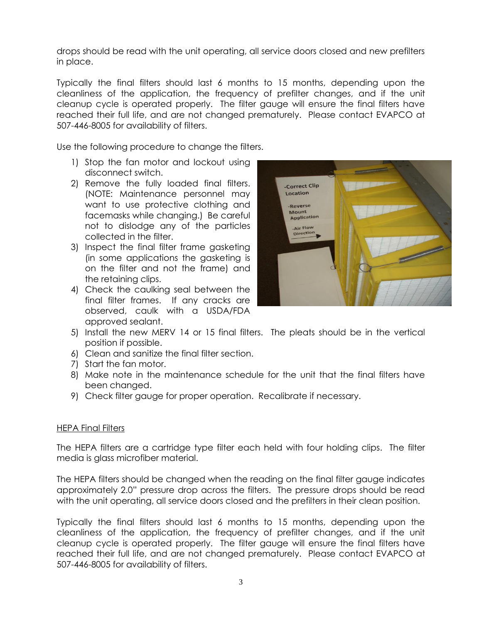drops should be read with the unit operating, all service doors closed and new prefilters in place.

Typically the final filters should last 6 months to 15 months, depending upon the cleanliness of the application, the frequency of prefilter changes, and if the unit cleanup cycle is operated properly. The filter gauge will ensure the final filters have reached their full life, and are not changed prematurely. Please contact EVAPCO at 507-446-8005 for availability of filters.

Use the following procedure to change the filters.

- 1) Stop the fan motor and lockout using disconnect switch.
- 2) Remove the fully loaded final filters. (NOTE: Maintenance personnel may want to use protective clothing and facemasks while changing.) Be careful not to dislodge any of the particles collected in the filter.
- 3) Inspect the final filter frame gasketing (in some applications the gasketing is on the filter and not the frame) and the retaining clips.
- 4) Check the caulking seal between the final filter frames. If any cracks are observed, caulk with a USDA/FDA approved sealant.



- 5) Install the new MERV 14 or 15 final filters. The pleats should be in the vertical position if possible.
- 6) Clean and sanitize the final filter section.
- 7) Start the fan motor.
- 8) Make note in the maintenance schedule for the unit that the final filters have been changed.
- 9) Check filter gauge for proper operation. Recalibrate if necessary.

#### **HEPA Final Filters**

The HEPA filters are a cartridge type filter each held with four holding clips. The filter media is glass microfiber material.

The HEPA filters should be changed when the reading on the final filter gauge indicates approximately 2.0" pressure drop across the filters. The pressure drops should be read with the unit operating, all service doors closed and the prefilters in their clean position.

Typically the final filters should last 6 months to 15 months, depending upon the cleanliness of the application, the frequency of prefilter changes, and if the unit cleanup cycle is operated properly. The filter gauge will ensure the final filters have reached their full life, and are not changed prematurely. Please contact EVAPCO at 507-446-8005 for availability of filters.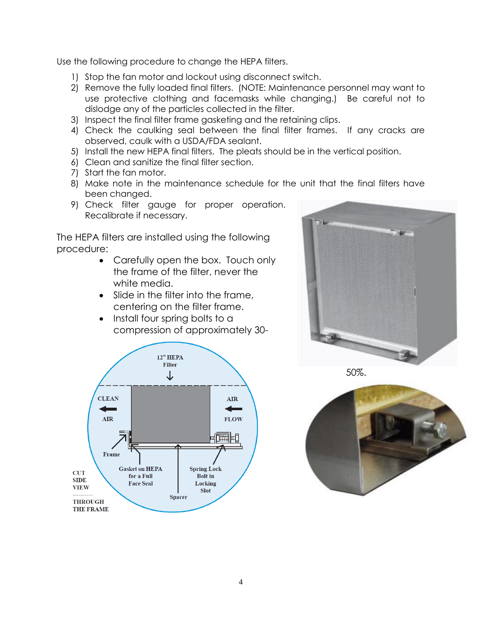Use the following procedure to change the HEPA filters.

- 1) Stop the fan motor and lockout using disconnect switch.
- 2) Remove the fully loaded final filters. (NOTE: Maintenance personnel may want to use protective clothing and facemasks while changing.) Be careful not to dislodge any of the particles collected in the filter.
- 3) Inspect the final filter frame gasketing and the retaining clips.
- 4) Check the caulking seal between the final filter frames. If any cracks are observed, caulk with a USDA/FDA sealant.
- 5) Install the new HEPA final filters. The pleats should be in the vertical position.
- 6) Clean and sanitize the final filter section.
- 7) Start the fan motor.
- 8) Make note in the maintenance schedule for the unit that the final filters have been changed.
- 9) Check filter gauge for proper operation. Recalibrate if necessary.

The HEPA filters are installed using the following procedure:

- Carefully open the box. Touch only the frame of the filter, never the white media.
- Slide in the filter into the frame, centering on the filter frame.
- Install four spring bolts to a compression of approximately 30-



50%.



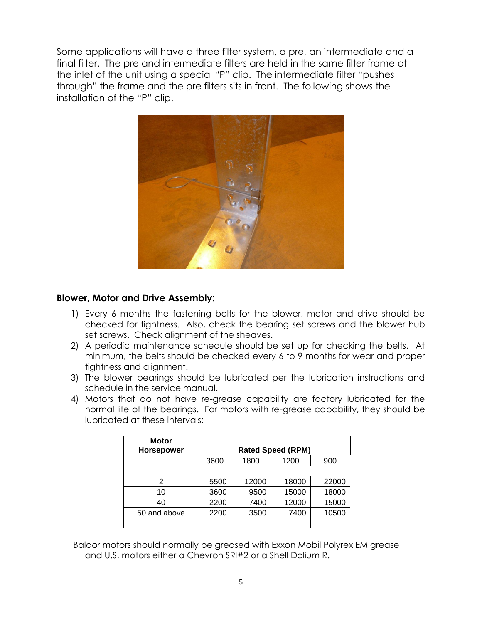Some applications will have a three filter system, a pre, an intermediate and a final filter. The pre and intermediate filters are held in the same filter frame at the inlet of the unit using a special "P" clip. The intermediate filter "pushes through" the frame and the pre filters sits in front. The following shows the installation of the "P" clip.



## **Blower, Motor and Drive Assembly:**

- 1) Every 6 months the fastening bolts for the blower, motor and drive should be checked for tightness. Also, check the bearing set screws and the blower hub set screws. Check alignment of the sheaves.
- 2) A periodic maintenance schedule should be set up for checking the belts. At minimum, the belts should be checked every 6 to 9 months for wear and proper tightness and alignment.
- 3) The blower bearings should be lubricated per the lubrication instructions and schedule in the service manual.
- 4) Motors that do not have re-grease capability are factory lubricated for the normal life of the bearings. For motors with re-grease capability, they should be lubricated at these intervals:

| <b>Motor</b><br><b>Horsepower</b> |      |       | <b>Rated Speed (RPM)</b> |       |
|-----------------------------------|------|-------|--------------------------|-------|
|                                   |      |       |                          |       |
|                                   | 3600 | 1800  | 1200                     | 900   |
|                                   |      |       |                          |       |
| 2                                 | 5500 | 12000 | 18000                    | 22000 |
| 10                                | 3600 | 9500  | 15000                    | 18000 |
| 40                                | 2200 | 7400  | 12000                    | 15000 |
| 50 and above                      | 2200 | 3500  | 7400                     | 10500 |
|                                   |      |       |                          |       |

Baldor motors should normally be greased with Exxon Mobil Polyrex EM grease and U.S. motors either a Chevron SRI#2 or a Shell Dolium R.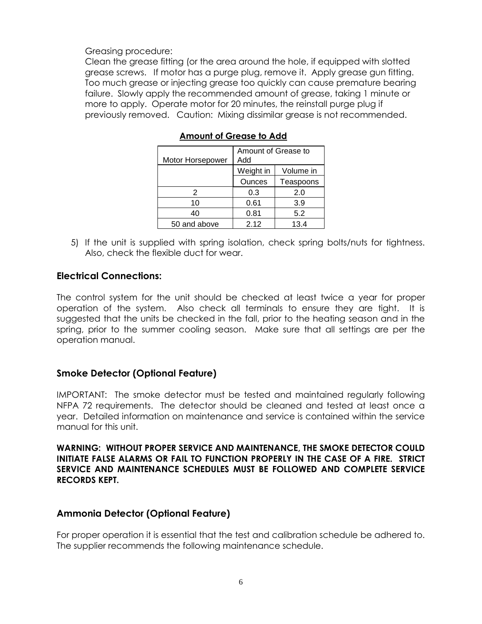Greasing procedure:

Clean the grease fitting (or the area around the hole, if equipped with slotted grease screws. If motor has a purge plug, remove it. Apply grease gun fitting. Too much grease or injecting grease too quickly can cause premature bearing failure. Slowly apply the recommended amount of grease, taking 1 minute or more to apply. Operate motor for 20 minutes, the reinstall purge plug if previously removed. Caution: Mixing dissimilar grease is not recommended.

|                  | Amount of Grease to |           |  |
|------------------|---------------------|-----------|--|
| Motor Horsepower | Add                 |           |  |
|                  | Weight in           | Volume in |  |
|                  | <b>Ounces</b>       | Teaspoons |  |
| 2                | 0.3                 | 2.0       |  |
| 10               | 0.61                | 3.9       |  |
| 40               | 0.81                | 5.2       |  |
| 50 and above     | 2.12                | 13.4      |  |

**Amount of Grease to Add**

5) If the unit is supplied with spring isolation, check spring bolts/nuts for tightness. Also, check the flexible duct for wear.

### **Electrical Connections:**

The control system for the unit should be checked at least twice a year for proper operation of the system. Also check all terminals to ensure they are tight. It is suggested that the units be checked in the fall, prior to the heating season and in the spring, prior to the summer cooling season. Make sure that all settings are per the operation manual.

## **Smoke Detector (Optional Feature)**

IMPORTANT: The smoke detector must be tested and maintained regularly following NFPA 72 requirements. The detector should be cleaned and tested at least once a year. Detailed information on maintenance and service is contained within the service manual for this unit.

**WARNING: WITHOUT PROPER SERVICE AND MAINTENANCE, THE SMOKE DETECTOR COULD INITIATE FALSE ALARMS OR FAIL TO FUNCTION PROPERLY IN THE CASE OF A FIRE. STRICT SERVICE AND MAINTENANCE SCHEDULES MUST BE FOLLOWED AND COMPLETE SERVICE RECORDS KEPT.**

### **Ammonia Detector (Optional Feature)**

For proper operation it is essential that the test and calibration schedule be adhered to. The supplier recommends the following maintenance schedule.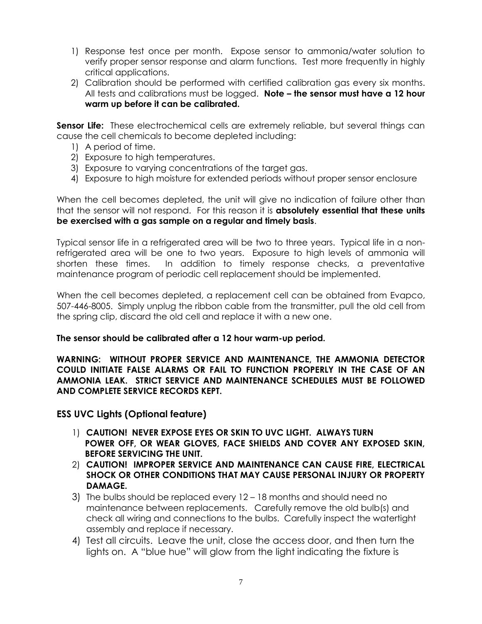- 1) Response test once per month. Expose sensor to ammonia/water solution to verify proper sensor response and alarm functions. Test more frequently in highly critical applications.
- 2) Calibration should be performed with certified calibration gas every six months. All tests and calibrations must be logged. **Note – the sensor must have a 12 hour warm up before it can be calibrated.**

**Sensor Life:** These electrochemical cells are extremely reliable, but several things can cause the cell chemicals to become depleted including:

- 1) A period of time.
- 2) Exposure to high temperatures.
- 3) Exposure to varying concentrations of the target gas.
- 4) Exposure to high moisture for extended periods without proper sensor enclosure

When the cell becomes depleted, the unit will give no indication of failure other than that the sensor will not respond. For this reason it is **absolutely essential that these units be exercised with a gas sample on a regular and timely basis**.

Typical sensor life in a refrigerated area will be two to three years. Typical life in a nonrefrigerated area will be one to two years. Exposure to high levels of ammonia will shorten these times. In addition to timely response checks, a preventative maintenance program of periodic cell replacement should be implemented.

When the cell becomes depleted, a replacement cell can be obtained from Evapco, 507-446-8005. Simply unplug the ribbon cable from the transmitter, pull the old cell from the spring clip, discard the old cell and replace it with a new one.

#### **The sensor should be calibrated after a 12 hour warm-up period.**

**WARNING: WITHOUT PROPER SERVICE AND MAINTENANCE, THE AMMONIA DETECTOR COULD INITIATE FALSE ALARMS OR FAIL TO FUNCTION PROPERLY IN THE CASE OF AN AMMONIA LEAK. STRICT SERVICE AND MAINTENANCE SCHEDULES MUST BE FOLLOWED AND COMPLETE SERVICE RECORDS KEPT.**

#### **ESS UVC Lights (Optional feature)**

- 1) **CAUTION! NEVER EXPOSE EYES OR SKIN TO UVC LIGHT. ALWAYS TURN POWER OFF, OR WEAR GLOVES, FACE SHIELDS AND COVER ANY EXPOSED SKIN, BEFORE SERVICING THE UNIT.**
- 2) **CAUTION! IMPROPER SERVICE AND MAINTENANCE CAN CAUSE FIRE, ELECTRICAL SHOCK OR OTHER CONDITIONS THAT MAY CAUSE PERSONAL INJURY OR PROPERTY DAMAGE.**
- 3) The bulbs should be replaced every 12 18 months and should need no maintenance between replacements. Carefully remove the old bulb(s) and check all wiring and connections to the bulbs. Carefully inspect the watertight assembly and replace if necessary.
- 4) Test all circuits. Leave the unit, close the access door, and then turn the lights on. A "blue hue" will glow from the light indicating the fixture is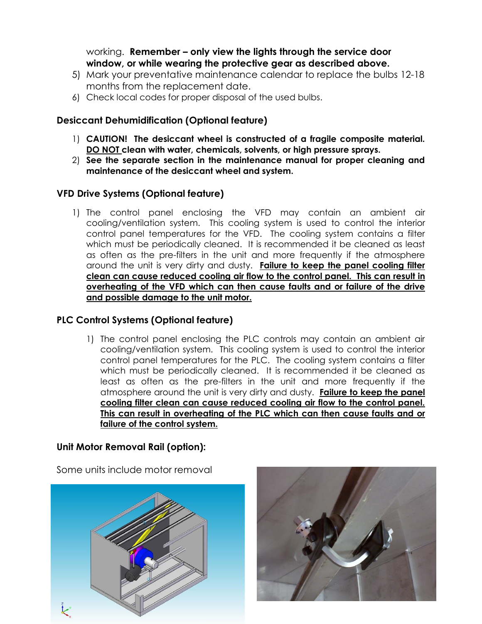## working. **Remember – only view the lights through the service door window, or while wearing the protective gear as described above.**

- 5) Mark your preventative maintenance calendar to replace the bulbs 12-18 months from the replacement date.
- 6) Check local codes for proper disposal of the used bulbs.

## **Desiccant Dehumidification (Optional feature)**

- 1) **CAUTION! The desiccant wheel is constructed of a fragile composite material. DO NOT clean with water, chemicals, solvents, or high pressure sprays.**
- 2) **See the separate section in the maintenance manual for proper cleaning and maintenance of the desiccant wheel and system.**

## **VFD Drive Systems (Optional feature)**

1) The control panel enclosing the VFD may contain an ambient air cooling/ventilation system. This cooling system is used to control the interior control panel temperatures for the VFD. The cooling system contains a filter which must be periodically cleaned. It is recommended it be cleaned as least as often as the pre-filters in the unit and more frequently if the atmosphere around the unit is very dirty and dusty. **Failure to keep the panel cooling filter clean can cause reduced cooling air flow to the control panel. This can result in overheating of the VFD which can then cause faults and or failure of the drive and possible damage to the unit motor.** 

### **PLC Control Systems (Optional feature)**

1) The control panel enclosing the PLC controls may contain an ambient air cooling/ventilation system. This cooling system is used to control the interior control panel temperatures for the PLC. The cooling system contains a filter which must be periodically cleaned. It is recommended it be cleaned as least as often as the pre-filters in the unit and more frequently if the atmosphere around the unit is very dirty and dusty. **Failure to keep the panel cooling filter clean can cause reduced cooling air flow to the control panel. This can result in overheating of the PLC which can then cause faults and or failure of the control system.** 

## **Unit Motor Removal Rail (option):**

Some units include motor removal



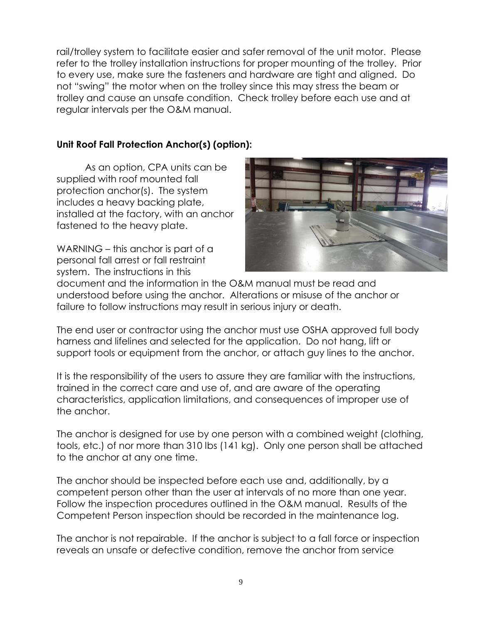rail/trolley system to facilitate easier and safer removal of the unit motor. Please refer to the trolley installation instructions for proper mounting of the trolley. Prior to every use, make sure the fasteners and hardware are tight and aligned. Do not "swing" the motor when on the trolley since this may stress the beam or trolley and cause an unsafe condition. Check trolley before each use and at regular intervals per the O&M manual.

# **Unit Roof Fall Protection Anchor(s) (option):**

As an option, CPA units can be supplied with roof mounted fall protection anchor(s). The system includes a heavy backing plate, installed at the factory, with an anchor fastened to the heavy plate.



WARNING – this anchor is part of a personal fall arrest or fall restraint system. The instructions in this

document and the information in the O&M manual must be read and understood before using the anchor. Alterations or misuse of the anchor or failure to follow instructions may result in serious injury or death.

The end user or contractor using the anchor must use OSHA approved full body harness and lifelines and selected for the application. Do not hang, lift or support tools or equipment from the anchor, or attach guy lines to the anchor.

It is the responsibility of the users to assure they are familiar with the instructions, trained in the correct care and use of, and are aware of the operating characteristics, application limitations, and consequences of improper use of the anchor.

The anchor is designed for use by one person with a combined weight (clothing, tools, etc.) of nor more than 310 lbs (141 kg). Only one person shall be attached to the anchor at any one time.

The anchor should be inspected before each use and, additionally, by a competent person other than the user at intervals of no more than one year. Follow the inspection procedures outlined in the O&M manual. Results of the Competent Person inspection should be recorded in the maintenance log.

The anchor is not repairable. If the anchor is subject to a fall force or inspection reveals an unsafe or defective condition, remove the anchor from service